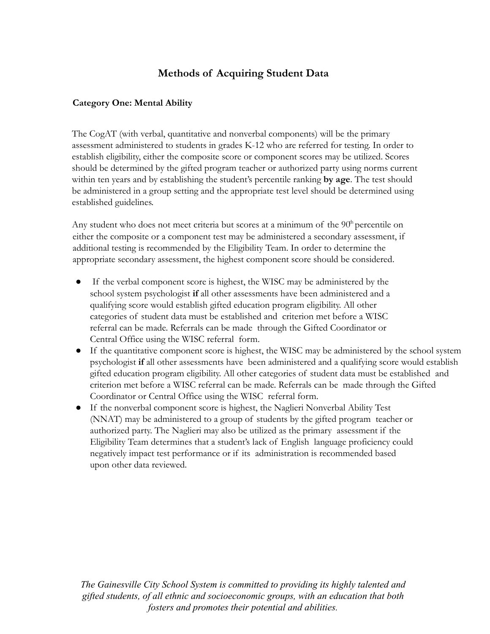# **Methods of Acquiring Student Data**

## **Category One: Mental Ability**

The CogAT (with verbal, quantitative and nonverbal components) will be the primary assessment administered to students in grades K-12 who are referred for testing. In order to establish eligibility, either the composite score or component scores may be utilized. Scores should be determined by the gifted program teacher or authorized party using norms current within ten years and by establishing the student's percentile ranking **by age**. The test should be administered in a group setting and the appropriate test level should be determined using established guidelines.

Any student who does not meet criteria but scores at a minimum of the  $90<sup>h</sup>$  percentile on either the composite or a component test may be administered a secondary assessment, if additional testing is recommended by the Eligibility Team. In order to determine the appropriate secondary assessment, the highest component score should be considered.

- If the verbal component score is highest, the WISC may be administered by the school system psychologist **if** all other assessments have been administered and a qualifying score would establish gifted education program eligibility. All other categories of student data must be established and criterion met before a WISC referral can be made. Referrals can be made through the Gifted Coordinator or Central Office using the WISC referral form.
- If the quantitative component score is highest, the WISC may be administered by the school system psychologist **if** all other assessments have been administered and a qualifying score would establish gifted education program eligibility. All other categories of student data must be established and criterion met before a WISC referral can be made. Referrals can be made through the Gifted Coordinator or Central Office using the WISC referral form.
- If the nonverbal component score is highest, the Naglieri Nonverbal Ability Test (NNAT) may be administered to a group of students by the gifted program teacher or authorized party. The Naglieri may also be utilized as the primary assessment if the Eligibility Team determines that a student's lack of English language proficiency could negatively impact test performance or if its administration is recommended based upon other data reviewed.

*The Gainesville City School System is committed to providing its highly talented and gifted students, of all ethnic and socioeconomic groups, with an education that both fosters and promotes their potential and abilities.*